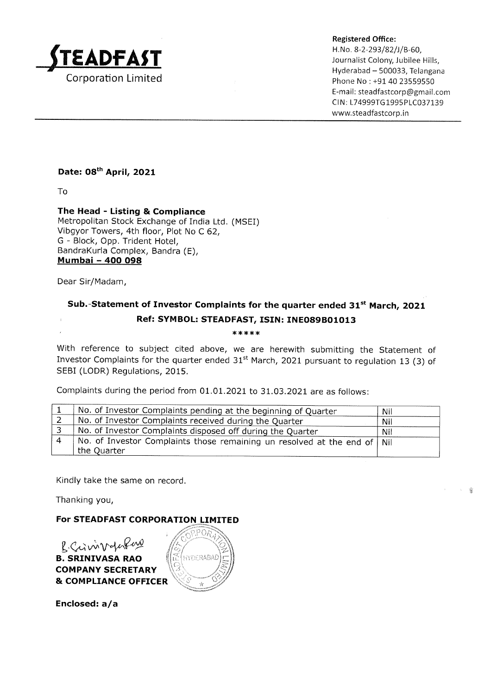

Registered Office:

H.No. 8-2-293/82/)/B-60,  $\Delta\text{DFAST}$  and  $\Delta\text{STE}$  are the set of  $\Delta\text{STE}$ Hyderabad — 500033, Telangana Corporation Limited Phone No : +91 40 23559550 E-mail: steadfastcorp @gmail.com CIN: L74999TG1995PLC037139 www.steadfastcorp.in

## Date: 08<sup>th</sup> April, 2021

To

The Head - Listing & Compliance Metropolitan Stock Exchange of India Ltd. (MSEI) Vibgyor Towers, 4th floor, Plot No C 62, G - Block, Opp. Trident Hotel, Bandrakurla Complex, Bandra (E), Mumbai - 400 098 **STEADFAST**<br>
Corporation Limited<br>
To<br>
The Head - Listing & Compliance<br>
Metropolitan Stock Exchange of India Ltd. (MS<br>
Vibgyor Towers, 4th floor, Plot No C 62,<br>
BandraKurla Complex, Bandra (E),<br> **Mumbai - 400 098**<br>
Dear Si **STEADFAST**<br>
Corporation Limited<br>
To<br>
The Head - Listing & Compliance<br>
The Head - Listing & Compliance<br>
Metropolitan Stock Exchange of India Ltd. (MS<br>
Vibgyor Towers, 4th floor, Plot No C 62,<br>
G - Block, Opp. Trident Hotel Corporation Limited<br>
Corporation Limited<br>
To<br>
The Head - Listing & Compliance<br>
The Head - Listing & Compliance<br>
Netropolitan Stock Exchange of India Ltd. (MS<br>
Vibgyor Towers, 4th floor, Plot No C 62,<br>
G - Block, Opp. Tride Corporation Limited<br>
Corporation Limited<br>
To<br>
The Head - Listing & Compliance<br>
Metropolitan Stock Exchange of India Ltd. (MS<br>
Vibgyor Towers, 4th floor, Plot No C 62,<br>
G - Block, Opp. Trident Hotel,<br>
Bandrakurla Complex, B

Dear Sir/Madam,

## Sub.-Statement of Investor Complaints for the quarter ended 31<sup>st</sup> March, 2021 Ref: SYMBOL: STEADFAST, ISIN: INEO89B01013

 $*****$ 

With reference to subject cited above, we are herewith submitting the Statement of Investor Complaints for the quarter ended  $31<sup>st</sup>$  March, 2021 pursuant to regulation 13 (3) of SEBI (LODR) Regulations, 2015.

Complaints during the period from 01.01.2021 to 31.03.2021 are as follows:

| No. of Investor Complaints pending at the beginning of Quarter             | Nil |
|----------------------------------------------------------------------------|-----|
| No. of Investor Complaints received during the Quarter                     | Nil |
| No. of Investor Complaints disposed off during the Quarter                 | Nil |
| No. of Investor Complaints those remaining un resolved at the end of   Nil |     |
| the Quarter                                                                |     |

Kindly take the same on record.

Thanking you,

For STEADFAST CORPORATION LIMITED



Enclosed: a/a